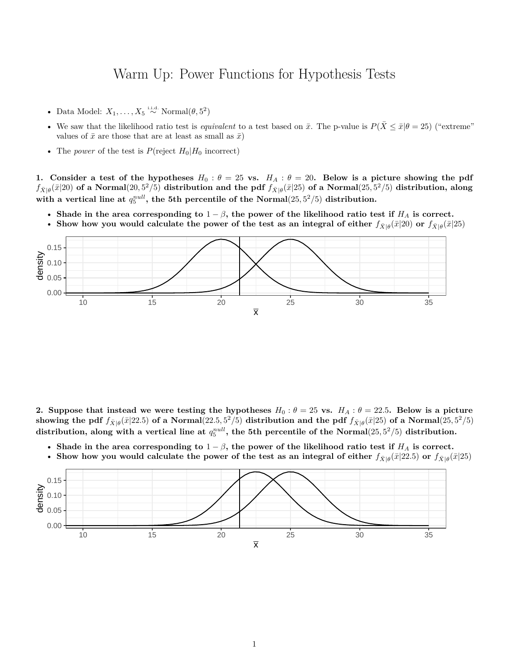## Warm Up: Power Functions for Hypothesis Tests

- Data Model:  $X_1, \ldots, X_5 \stackrel{\text{i.i.d.}}{\sim} \text{Normal}(\theta, 5^2)$
- We saw that the likelihood ratio test is *equivalent* to a test based on  $\bar{x}$ . The p-value is  $P(\bar{X} \le \bar{x}|\theta = 25)$  ("extreme" values of  $\bar{x}$  are those that are at least as small as  $\bar{x}$ )
- The *power* of the test is  $P(\text{reject } H_0|H_0 \text{ incorrect})$

**1.** Consider a test of the hypotheses  $H_0: \theta = 25$  vs.  $H_A: \theta = 20$ . Below is a picture showing the pdf  $f_{\bar{X}|\theta}(\bar{x}|20)$  of a Normal $(20,5^2/5)$  distribution and the pdf  $f_{\bar{X}|\theta}(\bar{x}|25)$  of a Normal $(25,5^2/5)$  distribution, along with a vertical line at  $q_5^{null}$ , the 5th percentile of the Normal $(25,5^2/5)$  distribution.

- Shade in the area corresponding to  $1 \beta$ , the power of the likelihood ratio test if  $H_A$  is correct.
- Show how you would calculate the power of the test as an integral of either  $f_{\bar{X}|\theta}(\bar{x}|20)$  or  $f_{\bar{X}|\theta}(\bar{x}|25)$



**2.** Suppose that instead we were testing the hypotheses  $H_0: \theta = 25$  vs.  $H_A: \theta = 22.5$ . Below is a picture showing the pdf  $f_{\bar{X}|\theta}(\bar{x}|22.5)$  of a Normal $(22.5,5^2/5)$  distribution and the pdf  $f_{\bar{X}|\theta}(\bar{x}|25)$  of a Normal $(25,5^2/5)$  $\alpha$  distribution, along with a vertical line at  $q_5^{null}$ , the 5th percentile of the Normal $(25, 5^2/5)$  distribution.

- Shade in the area corresponding to  $1 \beta$ , the power of the likelihood ratio test if  $H_A$  is correct.
- Show how you would calculate the power of the test as an integral of either  $f_{\bar{X}\vert\theta}(\bar{x}\vert 22.5)$  or  $f_{\bar{X}\vert\theta}(\bar{x}\vert 25)$